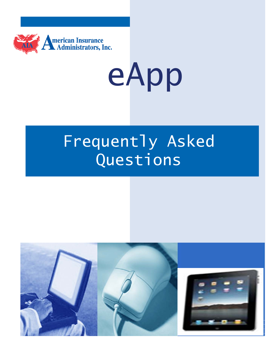

eApp

# Frequently Asked Questions

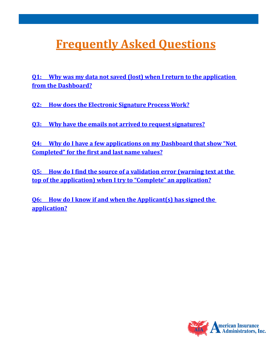## <span id="page-1-0"></span>**Frequently Asked Questions**

**[Q1: Why was my data not saved \(lost\) when I return to the application](#page-2-0)  [from the Dashboard?](#page-2-0)**

**[Q2: How does the Electronic Signature Process Work?](#page-3-0)**

**[Q3: Why have the emails not arrived to request signatures?](#page-3-1)**

**[Q4: Why do I have a few applications on my Dashboard that show "Not](#page-4-0)  [Completed" for the first and last name values?](#page-4-0)**

**[Q5: How do I find the source of a validation error \(warning text at the](#page-4-1)  [top of the application\) when I try to "Complete" an application?](#page-4-1)**

**[Q6: How do I know if and when the Applicant\(s\) has signed the](#page-4-1)  application?**

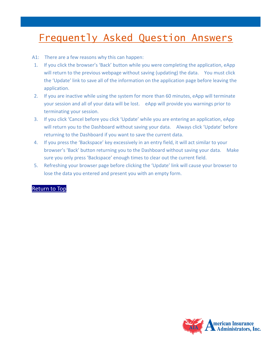### Frequently Asked Question Answers

- <span id="page-2-0"></span>A1: There are a few reasons why this can happen:
- 1. If you click the browser's 'Back' button while you were completing the application, eApp will return to the previous webpage without saving (updating) the data. You must click the 'Update' link to save all of the information on the application page before leaving the application.
- 2. If you are inactive while using the system for more than 60 minutes, eApp will terminate your session and all of your data will be lost. eApp will provide you warnings prior to terminating your session.
- 3. If you click 'Cancel before you click 'Update' while you are entering an application, eApp will return you to the Dashboard without saving your data. Always click 'Update' before returning to the Dashboard if you want to save the current data.
- 4. If you press the 'Backspace' key excessively in an entry field, it will act similar to your browser's 'Back' button returning you to the Dashboard without saving your data. Make sure you only press 'Backspace' enough times to clear out the current field.
- 5. Refreshing your browser page before clicking the 'Update' link will cause your browser to lose the data you entered and present you with an empty form.

#### [Return to Top](#page-1-0)

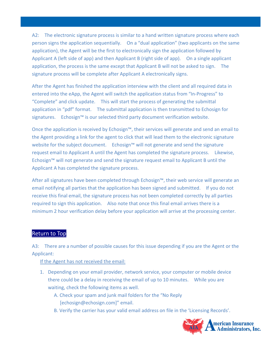<span id="page-3-0"></span>A2: The electronic signature process is similar to a hand written signature process where each person signs the application sequentially. On a "dual application" (two applicants on the same application), the Agent will be the first to electronically sign the application followed by Applicant A (left side of app) and then Applicant B (right side of app). On a single applicant application, the process is the same except that Applicant B will not be asked to sign. The signature process will be complete after Applicant A electronically signs.

After the Agent has finished the application interview with the client and all required data in entered into the eApp, the Agent will switch the application status from "In-Progress" to "Complete" and click update. This will start the process of generating the submittal application in "pdf" format. The submittal application is then transmitted to Echosign for signatures. Echosign™ is our selected third party document verification website.

Once the application is received by Echosign™, their services will generate and send an email to the Agent providing a link for the agent to click that will lead them to the electronic signature website for the subject document. Echosign™ will not generate and send the signature request email to Applicant A until the Agent has completed the signature process. Likewise, Echosign™ will not generate and send the signature request email to Applicant B until the Applicant A has completed the signature process.

After all signatures have been completed through Echosign™, their web service will generate an email notifying all parties that the application has been signed and submitted. If you do not receive this final email, the signature process has not been completed correctly by all parties required to sign this application. Also note that once this final email arrives there is a minimum 2 hour verification delay before your application will arrive at the processing center.

#### [Return to Top](#page-1-0)

<span id="page-3-1"></span>A3: There are a number of possible causes for this issue depending if you are the Agent or the Applicant:

If the Agent has not received the email:

- 1. Depending on your email provider, network service, your computer or mobile device there could be a delay in receiving the email of up to 10 minutes. While you are waiting, check the following items as well.
	- A. Check your spam and junk mail folders for the "No Reply [echosign@echosign.com]" email.
	- B. Verify the carrier has your valid email address on file in the 'Licensing Records'.

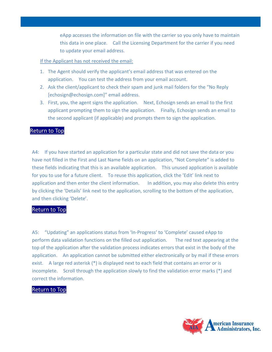eApp accesses the information on file with the carrier so you only have to maintain this data in one place. Call the Licensing Department for the carrier if you need to update your email address.

If the Applicant has not received the email:

- 1. The Agent should verify the applicant's email address that was entered on the application. You can test the address from your email account.
- 2. Ask the client/applicant to check their spam and junk mail folders for the "No Reply [echosign@echosign.com]" email address.
- 3. First, you, the agent signs the application. Next, Echosign sends an email to the first applicant prompting them to sign the application. Finally, Echosign sends an email to the second applicant (if applicable) and prompts them to sign the application.

#### [Return to Top](#page-1-0)

<span id="page-4-0"></span>A4: If you have started an application for a particular state and did not save the data or you have not filled in the First and Last Name fields on an application, "Not Complete" is added to these fields indicating that this is an available application. This unused application is available for you to use for a future client. To reuse this application, click the 'Edit' link next to application and then enter the client information. In addition, you may also delete this entry by clicking the 'Details' link next to the application, scrolling to the bottom of the application, and then clicking 'Delete'.

#### [Return to Top](#page-1-0)

<span id="page-4-1"></span>A5: "Updating" an applications status from 'In-Progress' to 'Complete' caused eApp to perform data validation functions on the filled out application. The red text appearing at the top of the application after the validation process indicates errors that exist in the body of the application. An application cannot be submitted either electronically or by mail if these errors exist. A large red asterisk (\*) is displayed next to each field that contains an error or is incomplete. Scroll through the application slowly to find the validation error marks (\*) and correct the information.

#### [Return to Top](#page-1-0)